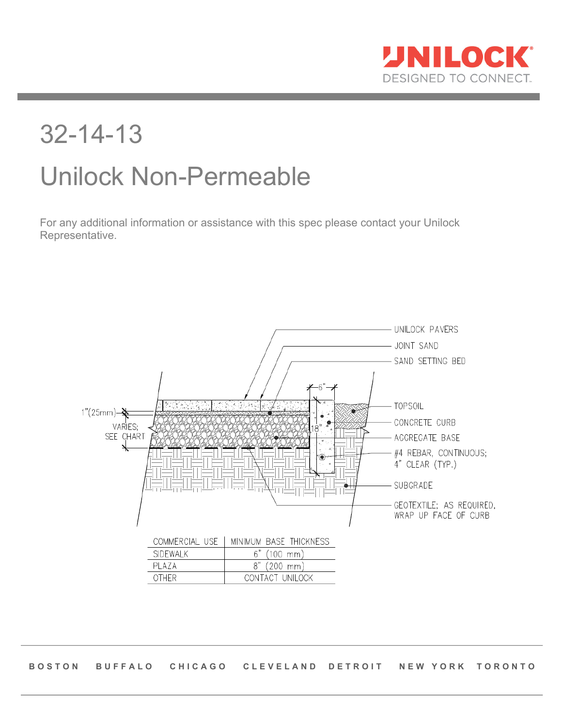

# 32-14-13 Unilock Non-Permeable

For any additional information or assistance with this spec please contact your Unilock Representative.



**BOSTON BUFFALO CHICAGO CLEVELAND DETROIT NEW YORK TORONTO**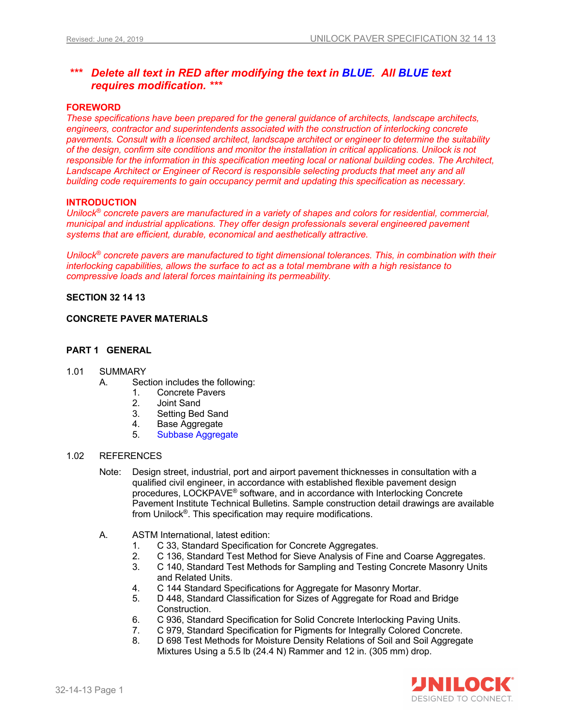## *\*\*\* Delete all text in RED after modifying the text in BLUE. All BLUE text requires modification. \*\*\**

#### **FOREWORD**

*These specifications have been prepared for the general guidance of architects, landscape architects, engineers, contractor and superintendents associated with the construction of interlocking concrete pavements. Consult with a licensed architect, landscape architect or engineer to determine the suitability of the design, confirm site conditions and monitor the installation in critical applications. Unilock is not*  responsible for the information in this specification meeting local or national building codes. The Architect, Landscape Architect or Engineer of Record is responsible selecting products that meet any and all *building code requirements to gain occupancy permit and updating this specification as necessary.* 

### **INTRODUCTION**

*Unilock® concrete pavers are manufactured in a variety of shapes and colors for residential, commercial, municipal and industrial applications. They offer design professionals several engineered pavement systems that are efficient, durable, economical and aesthetically attractive.*

*Unilock® concrete pavers are manufactured to tight dimensional tolerances. This, in combination with their interlocking capabilities, allows the surface to act as a total membrane with a high resistance to compressive loads and lateral forces maintaining its permeability.*

#### **SECTION 32 14 13**

#### **CONCRETE PAVER MATERIALS**

#### **PART 1 GENERAL**

#### 1.01 SUMMARY

- A. Section includes the following:
	- 1. Concrete Pavers
	- 2. Joint Sand
	- 3. Setting Bed Sand
	- 4. Base Aggregate
	- 5. Subbase Aggregate

#### 1.02 REFERENCES

- Note: Design street, industrial, port and airport pavement thicknesses in consultation with a qualified civil engineer, in accordance with established flexible pavement design procedures, LOCKPAVE® software, and in accordance with Interlocking Concrete Pavement Institute Technical Bulletins. Sample construction detail drawings are available from Unilock®. This specification may require modifications.
- A. ASTM International, latest edition:
	- 1. C 33, Standard Specification for Concrete Aggregates.<br>2. C 136, Standard Test Method for Sieve Analysis of Fine
		- 2. C 136, Standard Test Method for Sieve Analysis of Fine and Coarse Aggregates.
	- 3. C 140, Standard Test Methods for Sampling and Testing Concrete Masonry Units and Related Units.
	- 4. C 144 Standard Specifications for Aggregate for Masonry Mortar.
	- 5. D 448, Standard Classification for Sizes of Aggregate for Road and Bridge Construction.
	- 6. C 936, Standard Specification for Solid Concrete Interlocking Paving Units.
	- 7. C 979, Standard Specification for Pigments for Integrally Colored Concrete.
	- 8. D 698 Test Methods for Moisture Density Relations of Soil and Soil Aggregate Mixtures Using a 5.5 lb (24.4 N) Rammer and 12 in. (305 mm) drop.

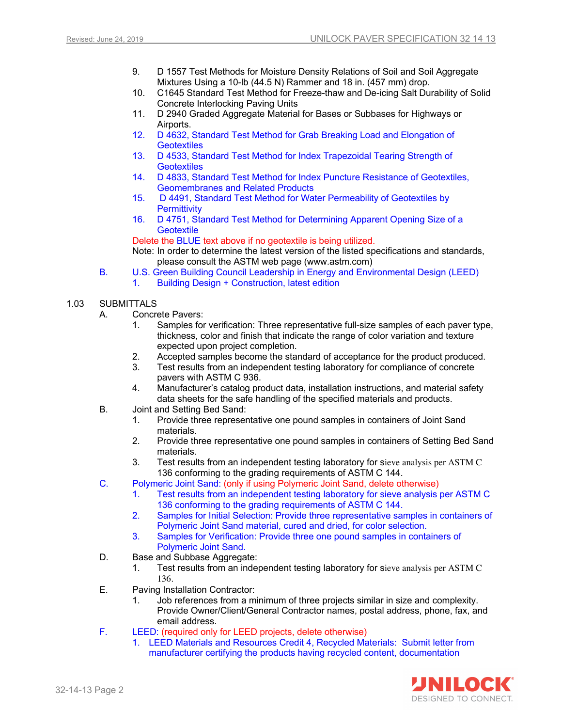- 9. D 1557 Test Methods for Moisture Density Relations of Soil and Soil Aggregate Mixtures Using a 10-lb (44.5 N) Rammer and 18 in. (457 mm) drop.
- 10. C1645 Standard Test Method for Freeze-thaw and De-icing Salt Durability of Solid Concrete Interlocking Paving Units
- 11. D 2940 Graded Aggregate Material for Bases or Subbases for Highways or Airports.
- 12. D 4632, Standard Test Method for Grab Breaking Load and Elongation of **Geotextiles**
- 13. D 4533, Standard Test Method for Index Trapezoidal Tearing Strength of **Geotextiles**
- 14. D 4833, Standard Test Method for Index Puncture Resistance of Geotextiles, Geomembranes and Related Products
- 15. D 4491, Standard Test Method for Water Permeability of Geotextiles by **Permittivity**
- 16. D 4751, Standard Test Method for Determining Apparent Opening Size of a **Geotextile**

Delete the BLUE text above if no geotextile is being utilized.

Note: In order to determine the latest version of the listed specifications and standards, please consult the ASTM web page (www.astm.com)

B. U.S. Green Building Council Leadership in Energy and Environmental Design (LEED) 1. Building Design + Construction, latest edition

#### 1.03 SUBMITTALS

- A. Concrete Pavers:
	- 1. Samples for verification: Three representative full-size samples of each paver type, thickness, color and finish that indicate the range of color variation and texture expected upon project completion.
	- 2. Accepted samples become the standard of acceptance for the product produced.
	- 3. Test results from an independent testing laboratory for compliance of concrete pavers with ASTM C 936.
	- 4. Manufacturer's catalog product data, installation instructions, and material safety data sheets for the safe handling of the specified materials and products.
- B. Joint and Setting Bed Sand:
	- 1. Provide three representative one pound samples in containers of Joint Sand materials.
	- 2. Provide three representative one pound samples in containers of Setting Bed Sand materials.
	- 3. Test results from an independent testing laboratory for sieve analysis per ASTM C 136 conforming to the grading requirements of ASTM C 144.
- C. Polymeric Joint Sand: (only if using Polymeric Joint Sand, delete otherwise)
	- 1. Test results from an independent testing laboratory for sieve analysis per ASTM C 136 conforming to the grading requirements of ASTM C 144.
	- 2. Samples for Initial Selection: Provide three representative samples in containers of Polymeric Joint Sand material, cured and dried, for color selection.
	- 3. Samples for Verification: Provide three one pound samples in containers of Polymeric Joint Sand.
- D. Base and Subbase Aggregate:
	- 1. Test results from an independent testing laboratory for sieve analysis per ASTM C 136.
- E. Paving Installation Contractor:
	- 1. Job references from a minimum of three projects similar in size and complexity. Provide Owner/Client/General Contractor names, postal address, phone, fax, and email address.
- F. LEED: (required only for LEED projects, delete otherwise)
	- 1. LEED Materials and Resources Credit 4, Recycled Materials: Submit letter from manufacturer certifying the products having recycled content, documentation

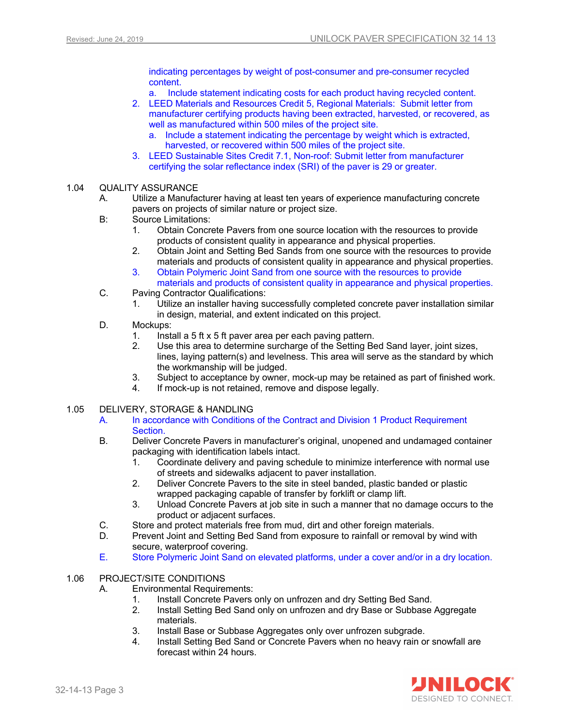indicating percentages by weight of post-consumer and pre-consumer recycled content.

a. Include statement indicating costs for each product having recycled content.

- 2. LEED Materials and Resources Credit 5, Regional Materials: Submit letter from manufacturer certifying products having been extracted, harvested, or recovered, as well as manufactured within 500 miles of the project site.
	- a. Include a statement indicating the percentage by weight which is extracted, harvested, or recovered within 500 miles of the project site.
- 3. LEED Sustainable Sites Credit 7.1, Non-roof: Submit letter from manufacturer certifying the solar reflectance index (SRI) of the paver is 29 or greater.

## 1.04 QUALITY ASSURANCE

- A. Utilize a Manufacturer having at least ten years of experience manufacturing concrete pavers on projects of similar nature or project size.
- B: Source Limitations:
	- 1. Obtain Concrete Pavers from one source location with the resources to provide products of consistent quality in appearance and physical properties.
	- 2. Obtain Joint and Setting Bed Sands from one source with the resources to provide materials and products of consistent quality in appearance and physical properties.
	- 3. Obtain Polymeric Joint Sand from one source with the resources to provide materials and products of consistent quality in appearance and physical properties.
- C. Paving Contractor Qualifications:
	- 1. Utilize an installer having successfully completed concrete paver installation similar in design, material, and extent indicated on this project.
- D. Mockups:
	- 1. Install a 5 ft x 5 ft paver area per each paving pattern.
	- 2. Use this area to determine surcharge of the Setting Bed Sand layer, joint sizes, lines, laying pattern(s) and levelness. This area will serve as the standard by which the workmanship will be judged.
	- 3. Subject to acceptance by owner, mock-up may be retained as part of finished work.
	- 4. If mock-up is not retained, remove and dispose legally.

#### 1.05 DELIVERY, STORAGE & HANDLING

- A. In accordance with Conditions of the Contract and Division 1 Product Requirement Section.
- B. Deliver Concrete Pavers in manufacturer's original, unopened and undamaged container packaging with identification labels intact.
	- 1. Coordinate delivery and paving schedule to minimize interference with normal use of streets and sidewalks adjacent to paver installation.
	- 2. Deliver Concrete Pavers to the site in steel banded, plastic banded or plastic wrapped packaging capable of transfer by forklift or clamp lift.
	- 3. Unload Concrete Pavers at job site in such a manner that no damage occurs to the product or adjacent surfaces.
- C. Store and protect materials free from mud, dirt and other foreign materials.
- D. Prevent Joint and Setting Bed Sand from exposure to rainfall or removal by wind with secure, waterproof covering.
- E. Store Polymeric Joint Sand on elevated platforms, under a cover and/or in a dry location.

#### 1.06 PROJECT/SITE CONDITIONS

- A. Environmental Requirements:
	- 1. Install Concrete Pavers only on unfrozen and dry Setting Bed Sand.
	- 2. Install Setting Bed Sand only on unfrozen and dry Base or Subbase Aggregate materials.
	- 3. Install Base or Subbase Aggregates only over unfrozen subgrade.
	- 4. Install Setting Bed Sand or Concrete Pavers when no heavy rain or snowfall are forecast within 24 hours.

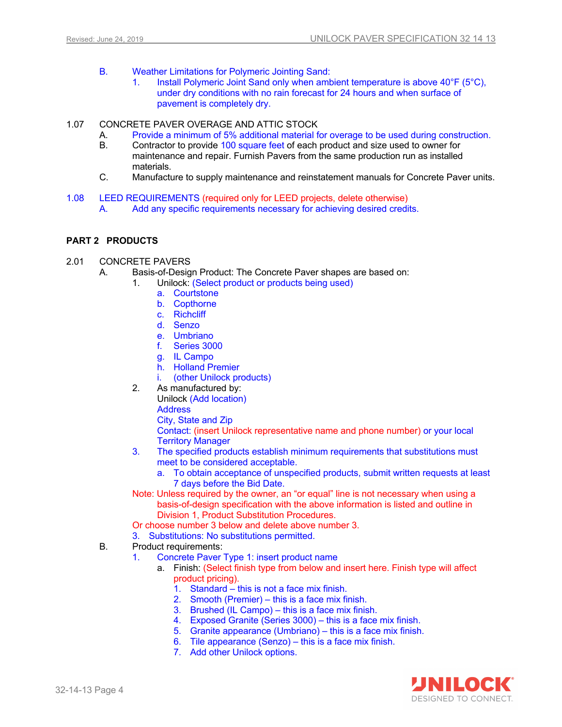- B. Weather Limitations for Polymeric Jointing Sand:
	- 1. Install Polymeric Joint Sand only when ambient temperature is above 40°F (5°C), under dry conditions with no rain forecast for 24 hours and when surface of pavement is completely dry.
- 1.07 CONCRETE PAVER OVERAGE AND ATTIC STOCK
	- A. Provide a minimum of 5% additional material for overage to be used during construction.
	- B. Contractor to provide 100 square feet of each product and size used to owner for maintenance and repair. Furnish Pavers from the same production run as installed materials.
	- C. Manufacture to supply maintenance and reinstatement manuals for Concrete Paver units.
- 1.08 LEED REQUIREMENTS (required only for LEED projects, delete otherwise) A. Add any specific requirements necessary for achieving desired credits.

#### **PART 2 PRODUCTS**

- 2.01 CONCRETE PAVERS
	- A. Basis-of-Design Product: The Concrete Paver shapes are based on:
		- 1. Unilock: (Select product or products being used)
			- a. Courtstone
			- b. Copthorne
			- c. Richcliff
			- d. Senzo
			- e. Umbriano
			- f. Series 3000
			- g. IL Campo
			- h. Holland Premier
			- i. (other Unilock products)
			- 2. As manufactured by:
				- Unilock (Add location)
					- **Address**
					- City, State and Zip

Contact: (insert Unilock representative name and phone number) or your local Territory Manager

- 3. The specified products establish minimum requirements that substitutions must meet to be considered acceptable.
	- a. To obtain acceptance of unspecified products, submit written requests at least 7 days before the Bid Date.
- Note: Unless required by the owner, an "or equal" line is not necessary when using a basis-of-design specification with the above information is listed and outline in Division 1, Product Substitution Procedures.
- Or choose number 3 below and delete above number 3.
- 3. Substitutions: No substitutions permitted.
- B. Product requirements:
	- 1. Concrete Paver Type 1: insert product name
		- a. Finish: (Select finish type from below and insert here. Finish type will affect product pricing).
			- 1. Standard  $-$  this is not a face mix finish.
			- 2. Smooth (Premier) this is a face mix finish.
			- 3. Brushed  $(IL \text{ Campo}) -$  this is a face mix finish.
			- 4. Exposed Granite (Series 3000) this is a face mix finish.
			- 5. Granite appearance (Umbriano) this is a face mix finish.
			- 6. Tile appearance (Senzo) this is a face mix finish.
			- 7. Add other Unilock options.

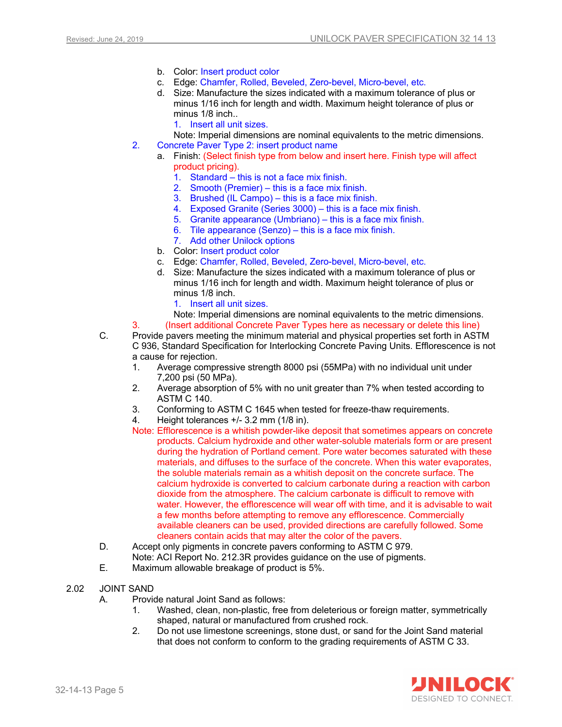- b. Color: Insert product color
- c. Edge: Chamfer, Rolled, Beveled, Zero-bevel, Micro-bevel, etc.
- d. Size: Manufacture the sizes indicated with a maximum tolerance of plus or minus 1/16 inch for length and width. Maximum height tolerance of plus or minus 1/8 inch..
	- 1. Insert all unit sizes.
- Note: Imperial dimensions are nominal equivalents to the metric dimensions.
- 2. Concrete Paver Type 2: insert product name
	- a. Finish: (Select finish type from below and insert here. Finish type will affect product pricing).
		- 1. Standard this is not a face mix finish.
		- 2. Smooth (Premier) this is a face mix finish.
		- 3. Brushed (IL Campo) this is a face mix finish.
		- 4. Exposed Granite (Series 3000) this is a face mix finish.
		- 5. Granite appearance (Umbriano) this is a face mix finish.
		- 6. Tile appearance (Senzo) this is a face mix finish.
		- 7. Add other Unilock options
	- b. Color: Insert product color
	- c. Edge: Chamfer, Rolled, Beveled, Zero-bevel, Micro-bevel, etc.
	- d. Size: Manufacture the sizes indicated with a maximum tolerance of plus or minus 1/16 inch for length and width. Maximum height tolerance of plus or minus 1/8 inch.
		- 1. Insert all unit sizes.
		- Note: Imperial dimensions are nominal equivalents to the metric dimensions.

3. (Insert additional Concrete Paver Types here as necessary or delete this line)

- C. Provide pavers meeting the minimum material and physical properties set forth in ASTM C 936, Standard Specification for Interlocking Concrete Paving Units. Efflorescence is not a cause for rejection.
	- 1. Average compressive strength 8000 psi (55MPa) with no individual unit under 7,200 psi (50 MPa).
	- 2. Average absorption of 5% with no unit greater than 7% when tested according to ASTM C 140.
	- 3. Conforming to ASTM C 1645 when tested for freeze-thaw requirements.
	- 4. Height tolerances +/- 3.2 mm (1/8 in).
	- Note: Efflorescence is a whitish powder-like deposit that sometimes appears on concrete products. Calcium hydroxide and other water-soluble materials form or are present during the hydration of Portland cement. Pore water becomes saturated with these materials, and diffuses to the surface of the concrete. When this water evaporates, the soluble materials remain as a whitish deposit on the concrete surface. The calcium hydroxide is converted to calcium carbonate during a reaction with carbon dioxide from the atmosphere. The calcium carbonate is difficult to remove with water. However, the efflorescence will wear off with time, and it is advisable to wait a few months before attempting to remove any efflorescence. Commercially available cleaners can be used, provided directions are carefully followed. Some cleaners contain acids that may alter the color of the pavers.
- D. Accept only pigments in concrete pavers conforming to ASTM C 979. Note: ACI Report No. 212.3R provides guidance on the use of pigments.
- E. Maximum allowable breakage of product is 5%.
- 2.02 JOINT SAND
	- A. Provide natural Joint Sand as follows:
		- 1. Washed, clean, non-plastic, free from deleterious or foreign matter, symmetrically shaped, natural or manufactured from crushed rock.
		- 2. Do not use limestone screenings, stone dust, or sand for the Joint Sand material that does not conform to conform to the grading requirements of ASTM C 33.

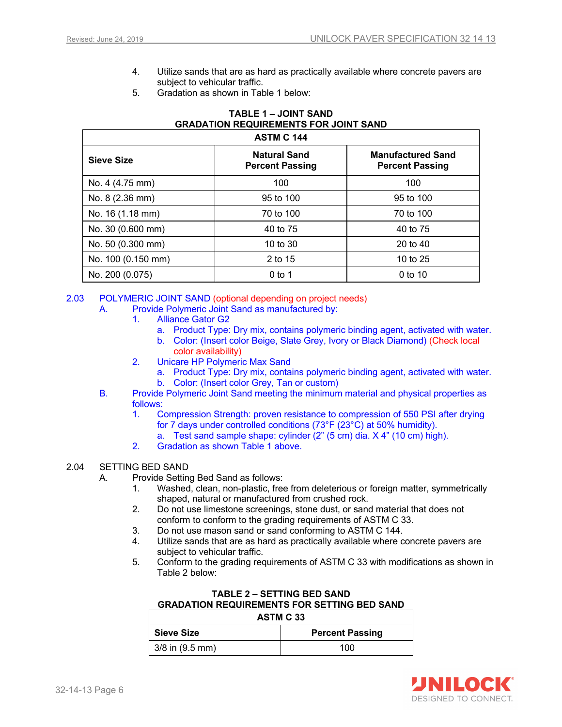- 4. Utilize sands that are as hard as practically available where concrete pavers are subject to vehicular traffic.
- 5. Gradation as shown in Table 1 below:

## **TABLE 1 – JOINT SAND GRADATION REQUIREMENTS FOR JOINT SAND**

| <b>ASTM C 144</b>  |                                               |                                                    |  |
|--------------------|-----------------------------------------------|----------------------------------------------------|--|
| Sieve Size         | <b>Natural Sand</b><br><b>Percent Passing</b> | <b>Manufactured Sand</b><br><b>Percent Passing</b> |  |
| No. 4 (4.75 mm)    | 100                                           | 100                                                |  |
| No. 8 (2.36 mm)    | 95 to 100                                     | 95 to 100                                          |  |
| No. 16 (1.18 mm)   | 70 to 100                                     | 70 to 100                                          |  |
| No. 30 (0.600 mm)  | 40 to 75                                      | 40 to 75                                           |  |
| No. 50 (0.300 mm)  | 10 to 30                                      | 20 to 40                                           |  |
| No. 100 (0.150 mm) | 2 to 15                                       | 10 to $25$                                         |  |
| No. 200 (0.075)    | $0$ to 1                                      | 0 to 10                                            |  |

2.03 POLYMERIC JOINT SAND (optional depending on project needs)

- A. Provide Polymeric Joint Sand as manufactured by:
	- 1. Alliance Gator G2
		- a. Product Type: Dry mix, contains polymeric binding agent, activated with water.
		- b. Color: (Insert color Beige, Slate Grey, Ivory or Black Diamond) (Check local color availability)
	- 2. Unicare HP Polymeric Max Sand
		- a. Product Type: Dry mix, contains polymeric binding agent, activated with water. b. Color: (Insert color Grey, Tan or custom)
- B. Provide Polymeric Joint Sand meeting the minimum material and physical properties as follows:
	- 1. Compression Strength: proven resistance to compression of 550 PSI after drying for 7 days under controlled conditions (73°F (23°C) at 50% humidity).
		- a. Test sand sample shape: cylinder (2" (5 cm) dia. X 4" (10 cm) high).
	- 2. Gradation as shown Table 1 above.

#### 2.04 SETTING BED SAND

- A. Provide Setting Bed Sand as follows:
	- 1. Washed, clean, non-plastic, free from deleterious or foreign matter, symmetrically shaped, natural or manufactured from crushed rock.
	- 2. Do not use limestone screenings, stone dust, or sand material that does not conform to conform to the grading requirements of ASTM C 33.
	- 3. Do not use mason sand or sand conforming to ASTM C 144.
	- 4. Utilize sands that are as hard as practically available where concrete pavers are subject to vehicular traffic.
	- 5. Conform to the grading requirements of ASTM C 33 with modifications as shown in Table 2 below:

#### **TABLE 2 – SETTING BED SAND GRADATION REQUIREMENTS FOR SETTING BED SAND**

| <b>ASTM C 33</b>    |                        |  |
|---------------------|------------------------|--|
| <b>Sieve Size</b>   | <b>Percent Passing</b> |  |
| $3/8$ in $(9.5$ mm) | 100                    |  |

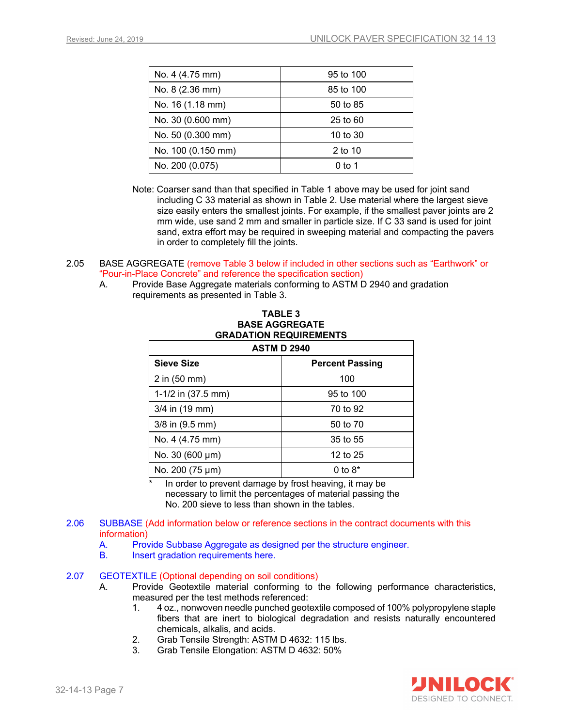| No. 4 (4.75 mm)    | 95 to 100    |
|--------------------|--------------|
| No. 8 (2.36 mm)    | 85 to 100    |
| No. 16 (1.18 mm)   | 50 to 85     |
| No. 30 (0.600 mm)  | $25$ to $60$ |
| No. 50 (0.300 mm)  | 10 to $30$   |
| No. 100 (0.150 mm) | 2 to 10      |
| No. 200 (0.075)    | $0$ to 1     |

- Note: Coarser sand than that specified in Table 1 above may be used for joint sand including C 33 material as shown in Table 2. Use material where the largest sieve size easily enters the smallest joints. For example, if the smallest paver joints are 2 mm wide, use sand 2 mm and smaller in particle size. If C 33 sand is used for joint sand, extra effort may be required in sweeping material and compacting the pavers in order to completely fill the joints.
- 2.05 BASE AGGREGATE (remove Table 3 below if included in other sections such as "Earthwork" or "Pour-in-Place Concrete" and reference the specification section)
	- A. Provide Base Aggregate materials conforming to ASTM D 2940 and gradation requirements as presented in Table 3.

**TABLE 3**

| <b>GRADATION REQUIREMENTS</b><br><b>ASTM D 2940</b> |                        |  |  |
|-----------------------------------------------------|------------------------|--|--|
|                                                     |                        |  |  |
| <b>Sieve Size</b>                                   | <b>Percent Passing</b> |  |  |
| $2$ in $(50$ mm $)$                                 | 100                    |  |  |
| 1-1/2 in $(37.5 \text{ mm})$                        | 95 to 100              |  |  |
| $3/4$ in (19 mm)                                    | 70 to 92               |  |  |
| 3/8 in (9.5 mm)                                     | 50 to 70               |  |  |
| No. 4 (4.75 mm)                                     | 35 to 55               |  |  |
| No. 30 (600 µm)                                     | 12 to 25               |  |  |
| No. 200 (75 µm)                                     | 0 to $8*$              |  |  |

In order to prevent damage by frost heaving, it may be necessary to limit the percentages of material passing the No. 200 sieve to less than shown in the tables.

- 2.06 SUBBASE (Add information below or reference sections in the contract documents with this information)
	- A. Provide Subbase Aggregate as designed per the structure engineer.
	- B. Insert gradation requirements here.

#### 2.07 GEOTEXTILE (Optional depending on soil conditions)

- A. Provide Geotextile material conforming to the following performance characteristics, measured per the test methods referenced:
	- 1. 4 oz., nonwoven needle punched geotextile composed of 100% polypropylene staple fibers that are inert to biological degradation and resists naturally encountered chemicals, alkalis, and acids.
	- 2. Grab Tensile Strength: ASTM D 4632: 115 lbs.
	- 3. Grab Tensile Elongation: ASTM D 4632: 50%

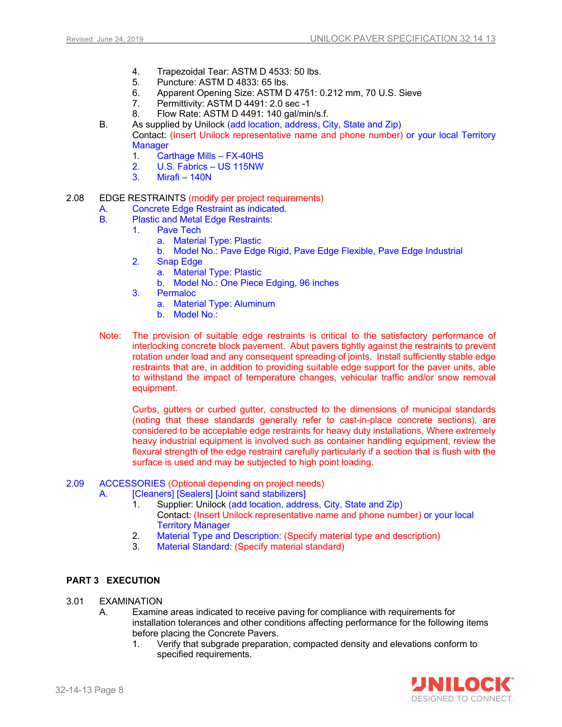- 4. Trapezoidal Tear: ASTM D 4533: 50 lbs.
- Puncture: ASTM D 4833: 65 lbs.
- 6. Apparent Opening Size: ASTM D 4751: 0.212 mm, 70 U.S. Sieve
- 7. Permittivity: ASTM D 4491: 2.0 sec -1
- 8. Flow Rate: ASTM D 4491: 140 gal/min/s.f.
- B. As supplied by Unilock (add location, address, City, State and Zip) Contact: (Insert Unilock representative name and phone number) or your local Territory **Manager** 
	- 1. Carthage Mills FX-40HS
	- 2. U.S. Fabrics US 115NW
	- 3. Mirafi 140N
- 2.08 EDGE RESTRAINTS (modify per project requirements)
	- A. Concrete Edge Restraint as indicated.
	- B. Plastic and Metal Edge Restraints:
		- 1. Pave Tech
			- a. Material Type: Plastic
			- b. Model No.: Pave Edge Rigid, Pave Edge Flexible, Pave Edge Industrial
			- 2. Snap Edge
				- a. Material Type: Plastic
				- b. Model No.: One Piece Edging, 96 inches
			- 3. Permaloc
				- a. Material Type: Aluminum
				- b. Model No.:
	- Note: The provision of suitable edge restraints is critical to the satisfactory performance of interlocking concrete block pavement. Abut pavers tightly against the restraints to prevent rotation under load and any consequent spreading of joints. Install sufficiently stable edge restraints that are, in addition to providing suitable edge support for the paver units, able to withstand the impact of temperature changes, vehicular traffic and/or snow removal equipment.

Curbs, gutters or curbed gutter, constructed to the dimensions of municipal standards (noting that these standards generally refer to cast-in-place concrete sections), are considered to be acceptable edge restraints for heavy duty installations. Where extremely heavy industrial equipment is involved such as container handling equipment, review the flexural strength of the edge restraint carefully particularly if a section that is flush with the surface is used and may be subjected to high point loading.

- 2.09 ACCESSORIES (Optional depending on project needs)
	- A. **[Cleaners] [Sealers] [Joint sand stabilizers]** 
		- 1. Supplier: Unilock (add location, address, City, State and Zip) Contact: (Insert Unilock representative name and phone number) or your local Territory Manager
		- 2. Material Type and Description: (Specify material type and description)
		- 3. Material Standard: (Specify material standard)

## **PART 3 EXECUTION**

#### 3.01 EXAMINATION

- A. Examine areas indicated to receive paving for compliance with requirements for installation tolerances and other conditions affecting performance for the following items before placing the Concrete Pavers.
	- 1. Verify that subgrade preparation, compacted density and elevations conform to specified requirements.

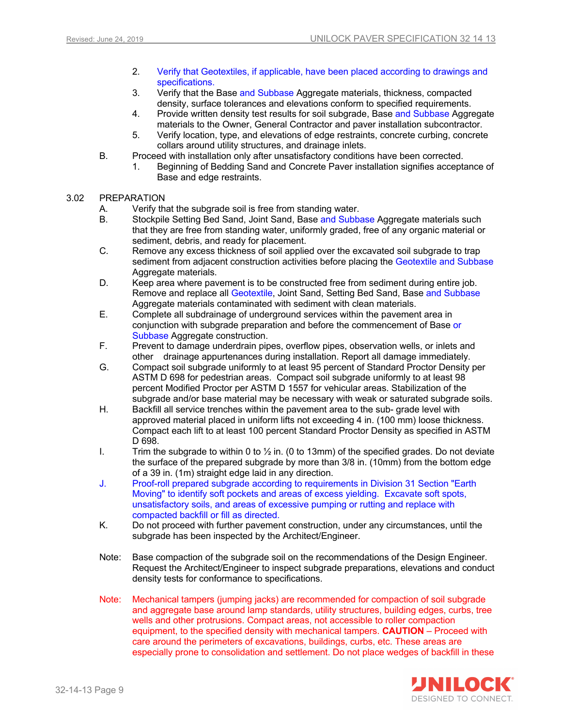- 2. Verify that Geotextiles, if applicable, have been placed according to drawings and specifications.
- 3. Verify that the Base and Subbase Aggregate materials, thickness, compacted density, surface tolerances and elevations conform to specified requirements.
- 4. Provide written density test results for soil subgrade, Base and Subbase Aggregate materials to the Owner, General Contractor and paver installation subcontractor.
- 5. Verify location, type, and elevations of edge restraints, concrete curbing, concrete collars around utility structures, and drainage inlets.
- B. Proceed with installation only after unsatisfactory conditions have been corrected.
	- 1. Beginning of Bedding Sand and Concrete Paver installation signifies acceptance of Base and edge restraints.
- 3.02 PREPARATION
	- A. Verify that the subgrade soil is free from standing water.
	- B. Stockpile Setting Bed Sand, Joint Sand, Base and Subbase Aggregate materials such that they are free from standing water, uniformly graded, free of any organic material or sediment, debris, and ready for placement.
	- C. Remove any excess thickness of soil applied over the excavated soil subgrade to trap sediment from adjacent construction activities before placing the Geotextile and Subbase Aggregate materials.
	- D. Keep area where pavement is to be constructed free from sediment during entire job. Remove and replace all Geotextile, Joint Sand, Setting Bed Sand, Base and Subbase Aggregate materials contaminated with sediment with clean materials.
	- E. Complete all subdrainage of underground services within the pavement area in conjunction with subgrade preparation and before the commencement of Base or Subbase Aggregate construction.
	- F. Prevent to damage underdrain pipes, overflow pipes, observation wells, or inlets and other drainage appurtenances during installation. Report all damage immediately.
	- G. Compact soil subgrade uniformly to at least 95 percent of Standard Proctor Density per ASTM D 698 for pedestrian areas. Compact soil subgrade uniformly to at least 98 percent Modified Proctor per ASTM D 1557 for vehicular areas. Stabilization of the subgrade and/or base material may be necessary with weak or saturated subgrade soils.
	- H. Backfill all service trenches within the pavement area to the sub- grade level with approved material placed in uniform lifts not exceeding 4 in. (100 mm) loose thickness. Compact each lift to at least 100 percent Standard Proctor Density as specified in ASTM D 698.
	- I. Trim the subgrade to within 0 to  $\frac{1}{2}$  in. (0 to 13mm) of the specified grades. Do not deviate the surface of the prepared subgrade by more than 3/8 in. (10mm) from the bottom edge of a 39 in. (1m) straight edge laid in any direction.
	- J. Proof-roll prepared subgrade according to requirements in Division 31 Section "Earth Moving" to identify soft pockets and areas of excess yielding. Excavate soft spots, unsatisfactory soils, and areas of excessive pumping or rutting and replace with compacted backfill or fill as directed.
	- K. Do not proceed with further pavement construction, under any circumstances, until the subgrade has been inspected by the Architect/Engineer.
	- Note: Base compaction of the subgrade soil on the recommendations of the Design Engineer. Request the Architect/Engineer to inspect subgrade preparations, elevations and conduct density tests for conformance to specifications.
	- Note: Mechanical tampers (jumping jacks) are recommended for compaction of soil subgrade and aggregate base around lamp standards, utility structures, building edges, curbs, tree wells and other protrusions. Compact areas, not accessible to roller compaction equipment, to the specified density with mechanical tampers. **CAUTION** – Proceed with care around the perimeters of excavations, buildings, curbs, etc. These areas are especially prone to consolidation and settlement. Do not place wedges of backfill in these

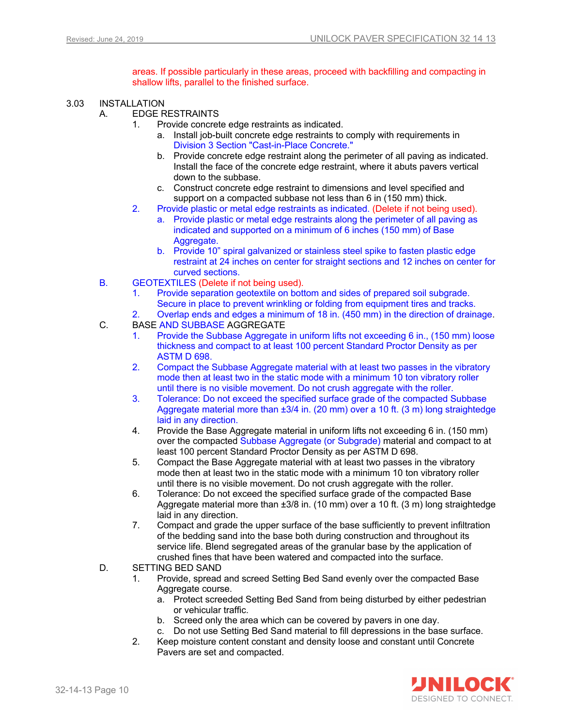areas. If possible particularly in these areas, proceed with backfilling and compacting in shallow lifts, parallel to the finished surface.

- 3.03 INSTALLATION
	- A. EDGE RESTRAINTS
		- 1. Provide concrete edge restraints as indicated.
			- a. Install job-built concrete edge restraints to comply with requirements in Division 3 Section "Cast-in-Place Concrete."
			- b. Provide concrete edge restraint along the perimeter of all paving as indicated. Install the face of the concrete edge restraint, where it abuts pavers vertical down to the subbase.
			- c. Construct concrete edge restraint to dimensions and level specified and support on a compacted subbase not less than 6 in (150 mm) thick.
		- 2. Provide plastic or metal edge restraints as indicated. (Delete if not being used).
			- a. Provide plastic or metal edge restraints along the perimeter of all paving as indicated and supported on a minimum of 6 inches (150 mm) of Base Aggregate.
			- b. Provide 10" spiral galvanized or stainless steel spike to fasten plastic edge restraint at 24 inches on center for straight sections and 12 inches on center for curved sections.
	- B. GEOTEXTILES (Delete if not being used).
		- 1. Provide separation geotextile on bottom and sides of prepared soil subgrade. Secure in place to prevent wrinkling or folding from equipment tires and tracks.
		- 2. Overlap ends and edges a minimum of 18 in. (450 mm) in the direction of drainage.
	- C. BASE AND SUBBASE AGGREGATE
		- 1. Provide the Subbase Aggregate in uniform lifts not exceeding 6 in., (150 mm) loose thickness and compact to at least 100 percent Standard Proctor Density as per ASTM D 698.
		- 2. Compact the Subbase Aggregate material with at least two passes in the vibratory mode then at least two in the static mode with a minimum 10 ton vibratory roller until there is no visible movement. Do not crush aggregate with the roller.
		- 3. Tolerance: Do not exceed the specified surface grade of the compacted Subbase Aggregate material more than  $\pm 3/4$  in. (20 mm) over a 10 ft. (3 m) long straightedge laid in any direction.
		- 4. Provide the Base Aggregate material in uniform lifts not exceeding 6 in. (150 mm) over the compacted Subbase Aggregate (or Subgrade) material and compact to at least 100 percent Standard Proctor Density as per ASTM D 698.
		- 5. Compact the Base Aggregate material with at least two passes in the vibratory mode then at least two in the static mode with a minimum 10 ton vibratory roller until there is no visible movement. Do not crush aggregate with the roller.
		- 6. Tolerance: Do not exceed the specified surface grade of the compacted Base Aggregate material more than ±3/8 in. (10 mm) over a 10 ft. (3 m) long straightedge laid in any direction.
		- 7. Compact and grade the upper surface of the base sufficiently to prevent infiltration of the bedding sand into the base both during construction and throughout its service life. Blend segregated areas of the granular base by the application of crushed fines that have been watered and compacted into the surface.
	- D. SETTING BED SAND
		- 1. Provide, spread and screed Setting Bed Sand evenly over the compacted Base Aggregate course.
			- a. Protect screeded Setting Bed Sand from being disturbed by either pedestrian or vehicular traffic.
			- b. Screed only the area which can be covered by pavers in one day.
			- c. Do not use Setting Bed Sand material to fill depressions in the base surface.
		- 2. Keep moisture content constant and density loose and constant until Concrete Pavers are set and compacted.

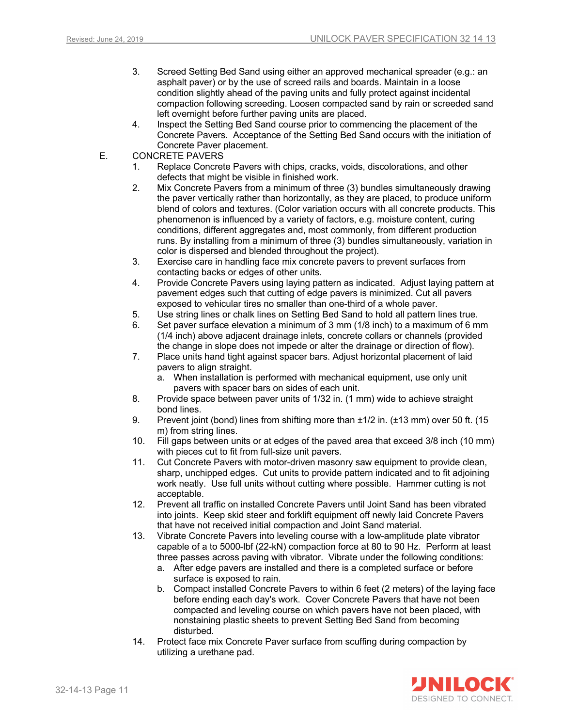- 3. Screed Setting Bed Sand using either an approved mechanical spreader (e.g.: an asphalt paver) or by the use of screed rails and boards. Maintain in a loose condition slightly ahead of the paving units and fully protect against incidental compaction following screeding. Loosen compacted sand by rain or screeded sand left overnight before further paving units are placed.
- 4. Inspect the Setting Bed Sand course prior to commencing the placement of the Concrete Pavers. Acceptance of the Setting Bed Sand occurs with the initiation of Concrete Paver placement.
- E. CONCRETE PAVERS
	- 1. Replace Concrete Pavers with chips, cracks, voids, discolorations, and other defects that might be visible in finished work.
	- 2. Mix Concrete Pavers from a minimum of three (3) bundles simultaneously drawing the paver vertically rather than horizontally, as they are placed, to produce uniform blend of colors and textures. (Color variation occurs with all concrete products. This phenomenon is influenced by a variety of factors, e.g. moisture content, curing conditions, different aggregates and, most commonly, from different production runs. By installing from a minimum of three (3) bundles simultaneously, variation in color is dispersed and blended throughout the project).
	- 3. Exercise care in handling face mix concrete pavers to prevent surfaces from contacting backs or edges of other units.
	- 4. Provide Concrete Pavers using laying pattern as indicated. Adjust laying pattern at pavement edges such that cutting of edge pavers is minimized. Cut all pavers exposed to vehicular tires no smaller than one-third of a whole paver.
	- 5. Use string lines or chalk lines on Setting Bed Sand to hold all pattern lines true.
	- 6. Set paver surface elevation a minimum of 3 mm (1/8 inch) to a maximum of 6 mm (1/4 inch) above adjacent drainage inlets, concrete collars or channels (provided the change in slope does not impede or alter the drainage or direction of flow).
	- 7. Place units hand tight against spacer bars. Adjust horizontal placement of laid pavers to align straight.
		- a. When installation is performed with mechanical equipment, use only unit pavers with spacer bars on sides of each unit.
	- 8. Provide space between paver units of 1/32 in. (1 mm) wide to achieve straight bond lines.
	- 9. Prevent joint (bond) lines from shifting more than ±1/2 in. (±13 mm) over 50 ft. (15 m) from string lines.
	- 10. Fill gaps between units or at edges of the paved area that exceed 3/8 inch (10 mm) with pieces cut to fit from full-size unit pavers.
	- 11. Cut Concrete Pavers with motor-driven masonry saw equipment to provide clean, sharp, unchipped edges. Cut units to provide pattern indicated and to fit adjoining work neatly. Use full units without cutting where possible. Hammer cutting is not acceptable.
	- 12. Prevent all traffic on installed Concrete Pavers until Joint Sand has been vibrated into joints. Keep skid steer and forklift equipment off newly laid Concrete Pavers that have not received initial compaction and Joint Sand material.
	- 13. Vibrate Concrete Pavers into leveling course with a low-amplitude plate vibrator capable of a to 5000-lbf (22-kN) compaction force at 80 to 90 Hz. Perform at least three passes across paving with vibrator. Vibrate under the following conditions:
		- a. After edge pavers are installed and there is a completed surface or before surface is exposed to rain.
		- b. Compact installed Concrete Pavers to within 6 feet (2 meters) of the laying face before ending each day's work. Cover Concrete Pavers that have not been compacted and leveling course on which pavers have not been placed, with nonstaining plastic sheets to prevent Setting Bed Sand from becoming disturbed.
	- 14. Protect face mix Concrete Paver surface from scuffing during compaction by utilizing a urethane pad.